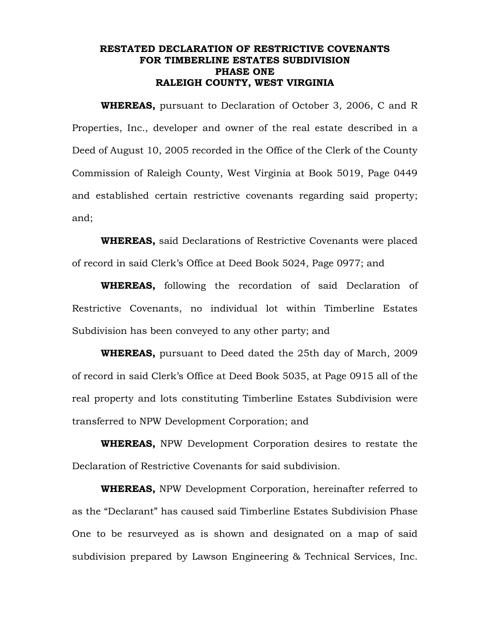## **RESTATED DECLARATION OF RESTRICTIVE COVENANTS FOR TIMBERLINE ESTATES SUBDIVISION PHASE ONE RALEIGH COUNTY, WEST VIRGINIA**

**WHEREAS,** pursuant to Declaration of October 3, 2006, C and R Properties, Inc., developer and owner of the real estate described in a Deed of August 10, 2005 recorded in the Office of the Clerk of the County Commission of Raleigh County, West Virginia at Book 5019, Page 0449 and established certain restrictive covenants regarding said property; and;

**WHEREAS,** said Declarations of Restrictive Covenants were placed of record in said Clerk's Office at Deed Book 5024, Page 0977; and

**WHEREAS,** following the recordation of said Declaration of Restrictive Covenants, no individual lot within Timberline Estates Subdivision has been conveyed to any other party; and

**WHEREAS,** pursuant to Deed dated the 25th day of March, 2009 of record in said Clerk's Office at Deed Book 5035, at Page 0915 all of the real property and lots constituting Timberline Estates Subdivision were transferred to NPW Development Corporation; and

**WHEREAS,** NPW Development Corporation desires to restate the Declaration of Restrictive Covenants for said subdivision.

**WHEREAS,** NPW Development Corporation, hereinafter referred to as the "Declarant" has caused said Timberline Estates Subdivision Phase One to be resurveyed as is shown and designated on a map of said subdivision prepared by Lawson Engineering & Technical Services, Inc.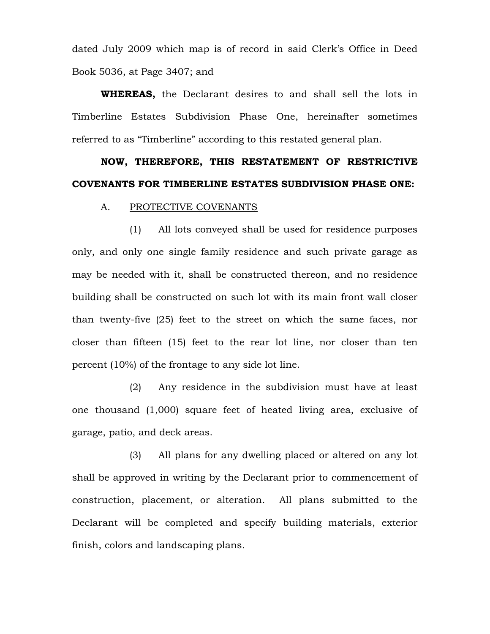dated July 2009 which map is of record in said Clerk's Office in Deed Book 5036, at Page 3407; and

**WHEREAS,** the Declarant desires to and shall sell the lots in Timberline Estates Subdivision Phase One, hereinafter sometimes referred to as "Timberline" according to this restated general plan.

# **NOW, THEREFORE, THIS RESTATEMENT OF RESTRICTIVE COVENANTS FOR TIMBERLINE ESTATES SUBDIVISION PHASE ONE:**

#### A. PROTECTIVE COVENANTS

(1) All lots conveyed shall be used for residence purposes only, and only one single family residence and such private garage as may be needed with it, shall be constructed thereon, and no residence building shall be constructed on such lot with its main front wall closer than twenty-five (25) feet to the street on which the same faces, nor closer than fifteen (15) feet to the rear lot line, nor closer than ten percent (10%) of the frontage to any side lot line.

(2) Any residence in the subdivision must have at least one thousand (1,000) square feet of heated living area, exclusive of garage, patio, and deck areas.

(3) All plans for any dwelling placed or altered on any lot shall be approved in writing by the Declarant prior to commencement of construction, placement, or alteration. All plans submitted to the Declarant will be completed and specify building materials, exterior finish, colors and landscaping plans.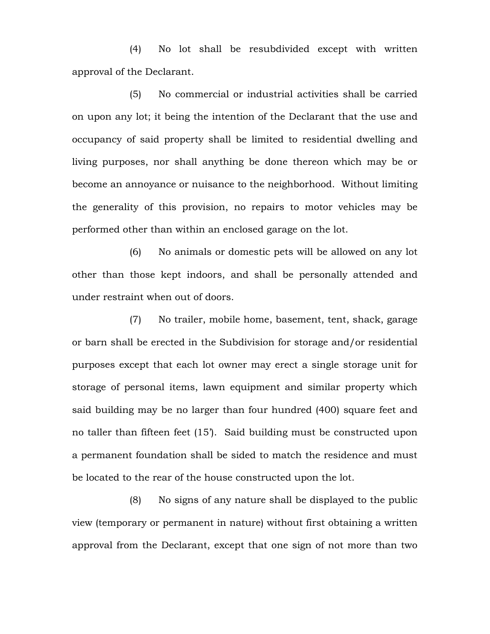(4) No lot shall be resubdivided except with written approval of the Declarant.

(5) No commercial or industrial activities shall be carried on upon any lot; it being the intention of the Declarant that the use and occupancy of said property shall be limited to residential dwelling and living purposes, nor shall anything be done thereon which may be or become an annoyance or nuisance to the neighborhood. Without limiting the generality of this provision, no repairs to motor vehicles may be performed other than within an enclosed garage on the lot.

(6) No animals or domestic pets will be allowed on any lot other than those kept indoors, and shall be personally attended and under restraint when out of doors.

(7) No trailer, mobile home, basement, tent, shack, garage or barn shall be erected in the Subdivision for storage and/or residential purposes except that each lot owner may erect a single storage unit for storage of personal items, lawn equipment and similar property which said building may be no larger than four hundred (400) square feet and no taller than fifteen feet (15'). Said building must be constructed upon a permanent foundation shall be sided to match the residence and must be located to the rear of the house constructed upon the lot.

(8) No signs of any nature shall be displayed to the public view (temporary or permanent in nature) without first obtaining a written approval from the Declarant, except that one sign of not more than two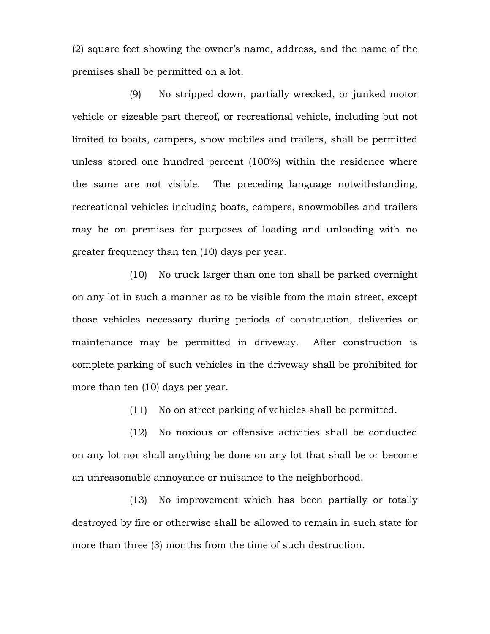(2) square feet showing the owner's name, address, and the name of the premises shall be permitted on a lot.

(9) No stripped down, partially wrecked, or junked motor vehicle or sizeable part thereof, or recreational vehicle, including but not limited to boats, campers, snow mobiles and trailers, shall be permitted unless stored one hundred percent (100%) within the residence where the same are not visible. The preceding language notwithstanding, recreational vehicles including boats, campers, snowmobiles and trailers may be on premises for purposes of loading and unloading with no greater frequency than ten (10) days per year.

(10) No truck larger than one ton shall be parked overnight on any lot in such a manner as to be visible from the main street, except those vehicles necessary during periods of construction, deliveries or maintenance may be permitted in driveway. After construction is complete parking of such vehicles in the driveway shall be prohibited for more than ten (10) days per year.

(11) No on street parking of vehicles shall be permitted.

(12) No noxious or offensive activities shall be conducted on any lot nor shall anything be done on any lot that shall be or become an unreasonable annoyance or nuisance to the neighborhood.

(13) No improvement which has been partially or totally destroyed by fire or otherwise shall be allowed to remain in such state for more than three (3) months from the time of such destruction.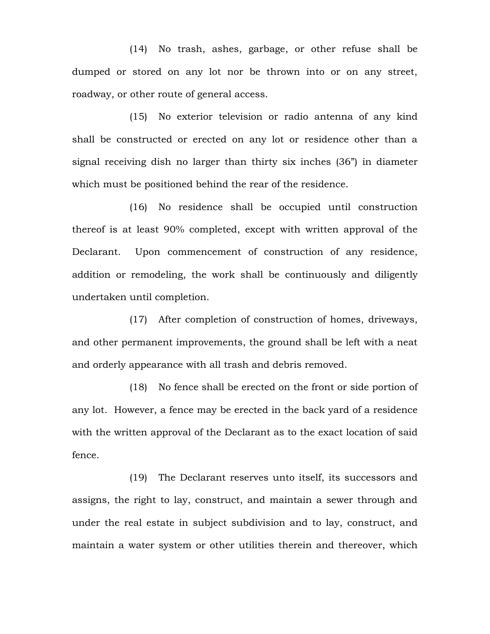(14) No trash, ashes, garbage, or other refuse shall be dumped or stored on any lot nor be thrown into or on any street, roadway, or other route of general access.

(15) No exterior television or radio antenna of any kind shall be constructed or erected on any lot or residence other than a signal receiving dish no larger than thirty six inches (36") in diameter which must be positioned behind the rear of the residence.

(16) No residence shall be occupied until construction thereof is at least 90% completed, except with written approval of the Declarant. Upon commencement of construction of any residence, addition or remodeling, the work shall be continuously and diligently undertaken until completion.

(17) After completion of construction of homes, driveways, and other permanent improvements, the ground shall be left with a neat and orderly appearance with all trash and debris removed.

(18) No fence shall be erected on the front or side portion of any lot. However, a fence may be erected in the back yard of a residence with the written approval of the Declarant as to the exact location of said fence.

(19) The Declarant reserves unto itself, its successors and assigns, the right to lay, construct, and maintain a sewer through and under the real estate in subject subdivision and to lay, construct, and maintain a water system or other utilities therein and thereover, which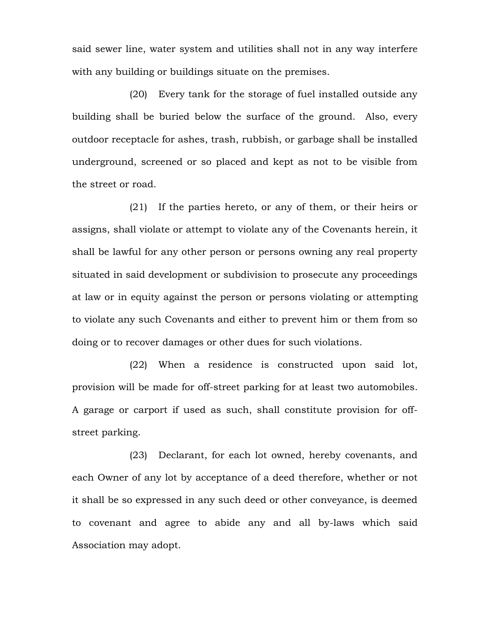said sewer line, water system and utilities shall not in any way interfere with any building or buildings situate on the premises.

(20) Every tank for the storage of fuel installed outside any building shall be buried below the surface of the ground. Also, every outdoor receptacle for ashes, trash, rubbish, or garbage shall be installed underground, screened or so placed and kept as not to be visible from the street or road.

(21) If the parties hereto, or any of them, or their heirs or assigns, shall violate or attempt to violate any of the Covenants herein, it shall be lawful for any other person or persons owning any real property situated in said development or subdivision to prosecute any proceedings at law or in equity against the person or persons violating or attempting to violate any such Covenants and either to prevent him or them from so doing or to recover damages or other dues for such violations.

(22) When a residence is constructed upon said lot, provision will be made for off-street parking for at least two automobiles. A garage or carport if used as such, shall constitute provision for offstreet parking.

(23) Declarant, for each lot owned, hereby covenants, and each Owner of any lot by acceptance of a deed therefore, whether or not it shall be so expressed in any such deed or other conveyance, is deemed to covenant and agree to abide any and all by-laws which said Association may adopt.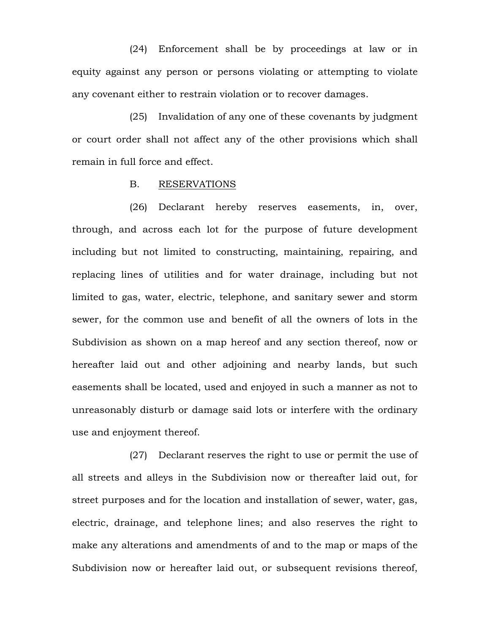(24) Enforcement shall be by proceedings at law or in equity against any person or persons violating or attempting to violate any covenant either to restrain violation or to recover damages.

(25) Invalidation of any one of these covenants by judgment or court order shall not affect any of the other provisions which shall remain in full force and effect.

#### B. RESERVATIONS

(26) Declarant hereby reserves easements, in, over, through, and across each lot for the purpose of future development including but not limited to constructing, maintaining, repairing, and replacing lines of utilities and for water drainage, including but not limited to gas, water, electric, telephone, and sanitary sewer and storm sewer, for the common use and benefit of all the owners of lots in the Subdivision as shown on a map hereof and any section thereof, now or hereafter laid out and other adjoining and nearby lands, but such easements shall be located, used and enjoyed in such a manner as not to unreasonably disturb or damage said lots or interfere with the ordinary use and enjoyment thereof.

(27) Declarant reserves the right to use or permit the use of all streets and alleys in the Subdivision now or thereafter laid out, for street purposes and for the location and installation of sewer, water, gas, electric, drainage, and telephone lines; and also reserves the right to make any alterations and amendments of and to the map or maps of the Subdivision now or hereafter laid out, or subsequent revisions thereof,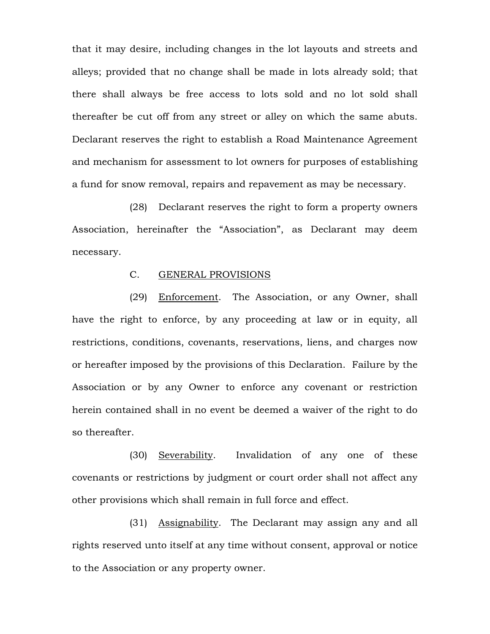that it may desire, including changes in the lot layouts and streets and alleys; provided that no change shall be made in lots already sold; that there shall always be free access to lots sold and no lot sold shall thereafter be cut off from any street or alley on which the same abuts. Declarant reserves the right to establish a Road Maintenance Agreement and mechanism for assessment to lot owners for purposes of establishing a fund for snow removal, repairs and repavement as may be necessary.

(28) Declarant reserves the right to form a property owners Association, hereinafter the "Association", as Declarant may deem necessary.

## C. GENERAL PROVISIONS

(29) Enforcement. The Association, or any Owner, shall have the right to enforce, by any proceeding at law or in equity, all restrictions, conditions, covenants, reservations, liens, and charges now or hereafter imposed by the provisions of this Declaration. Failure by the Association or by any Owner to enforce any covenant or restriction herein contained shall in no event be deemed a waiver of the right to do so thereafter.

(30) Severability. Invalidation of any one of these covenants or restrictions by judgment or court order shall not affect any other provisions which shall remain in full force and effect.

(31) Assignability. The Declarant may assign any and all rights reserved unto itself at any time without consent, approval or notice to the Association or any property owner.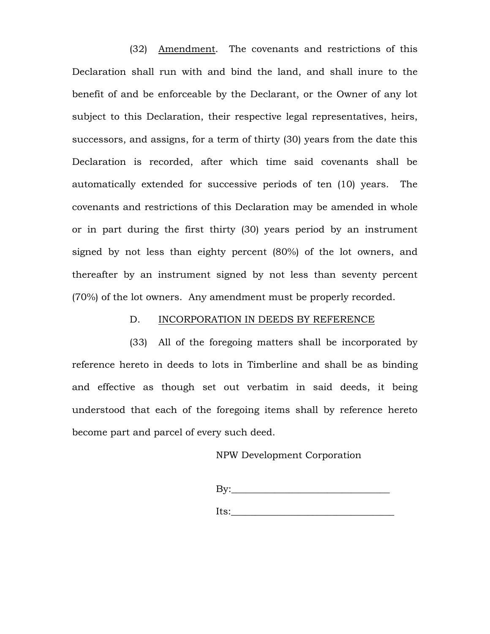(32) Amendment. The covenants and restrictions of this Declaration shall run with and bind the land, and shall inure to the benefit of and be enforceable by the Declarant, or the Owner of any lot subject to this Declaration, their respective legal representatives, heirs, successors, and assigns, for a term of thirty (30) years from the date this Declaration is recorded, after which time said covenants shall be automatically extended for successive periods of ten (10) years. The covenants and restrictions of this Declaration may be amended in whole or in part during the first thirty (30) years period by an instrument signed by not less than eighty percent (80%) of the lot owners, and thereafter by an instrument signed by not less than seventy percent (70%) of the lot owners. Any amendment must be properly recorded.

#### D. INCORPORATION IN DEEDS BY REFERENCE

(33) All of the foregoing matters shall be incorporated by reference hereto in deeds to lots in Timberline and shall be as binding and effective as though set out verbatim in said deeds, it being understood that each of the foregoing items shall by reference hereto become part and parcel of every such deed.

## NPW Development Corporation

| By:  |  |  |  |
|------|--|--|--|
|      |  |  |  |
| Its: |  |  |  |